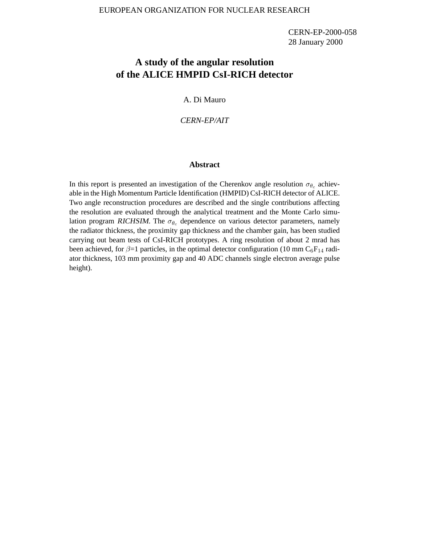CERN-EP-2000-058 28 January 2000

# **A study of the angular resolution of the ALICE HMPID CsI-RICH detector**

A. Di Mauro

## *CERN-EP/AIT*

#### **Abstract**

In this report is presented an investigation of the Cherenkov angle resolution  $\sigma_{\theta_c}$  achievable in the High Momentum Particle Identification (HMPID) CsI-RICH detector of ALICE. Two angle reconstruction procedures are described and the single contributions affecting the resolution are evaluated through the analytical treatment and the Monte Carlo simulation program RICHSIM. The  $\sigma_{\theta_c}$  dependence on various detector parameters, namely the radiator thickness, the proximity gap thickness and the chamber gain, has been studied carrying out beam tests of CsI-RICH prototypes. A ring resolution of about 2 mrad has been achieved, for  $\beta=1$  particles, in the optimal detector configuration (10 mm C<sub>6</sub>F<sub>14</sub> radiator thickness, 103 mm proximity gap and 40 ADC channels single electron average pulse height).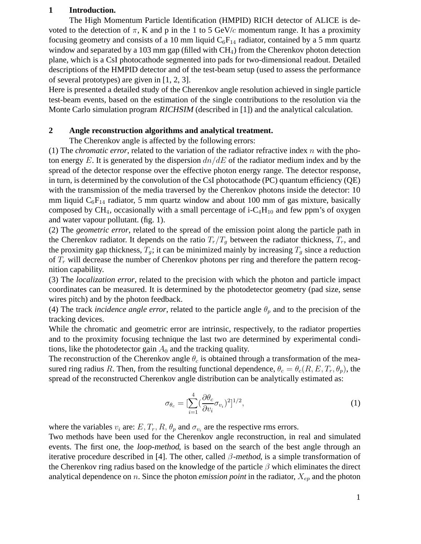# **1 Introduction.**

The High Momentum Particle Identification (HMPID) RICH detector of ALICE is devoted to the detection of  $\pi$ , K and p in the 1 to 5 GeV/c momentum range. It has a proximity focusing geometry and consists of a 10 mm liquid  $C_6F_{14}$  radiator, contained by a 5 mm quartz window and separated by a 103 mm gap (filled with  $CH<sub>4</sub>$ ) from the Cherenkov photon detection plane, which is a CsI photocathode segmented into pads for two-dimensional readout. Detailed descriptions of the HMPID detector and of the test-beam setup (used to assess the performance of several prototypes) are given in [1, 2, 3].

Here is presented a detailed study of the Cherenkov angle resolution achieved in single particle test-beam events, based on the estimation of the single contributions to the resolution via the Monte Carlo simulation program RICHSIM (described in [1]) and the analytical calculation.

# **2 Angle reconstruction algorithms and analytical treatment.**

The Cherenkov angle is affected by the following errors:

(1) The *chromatic error*, related to the variation of the radiator refractive index  $n$  with the photon energy E. It is generated by the dispersion  $dn/dE$  of the radiator medium index and by the spread of the detector response over the effective photon energy range. The detector response, in turn, is determined by the convolution of the CsI photocathode (PC) quantum efficiency (QE) with the transmission of the media traversed by the Cherenkov photons inside the detector: 10 mm liquid  $C_6F_{14}$  radiator, 5 mm quartz window and about 100 mm of gas mixture, basically composed by  $CH_4$ , occasionally with a small percentage of i- $C_4H_{10}$  and few ppm's of oxygen and water vapour pollutant. (fig. 1).

(2) The *geometric error*, related to the spread of the emission point along the particle path in the Cherenkov radiator. It depends on the ratio  $T_r/T_q$  between the radiator thickness,  $T_r$ , and the proximity gap thickness,  $T_q$ ; it can be minimized mainly by increasing  $T_q$  since a reduction of  $T_r$  will decrease the number of Cherenkov photons per ring and therefore the pattern recognition capability.

(3) The *localization error*, related to the precision with which the photon and particle impact coordinates can be measured. It is determined by the photodetector geometry (pad size, sense wires pitch) and by the photon feedback.

(4) The track *incidence angle error*, related to the particle angle  $\theta_p$  and to the precision of the tracking devices.

While the chromatic and geometric error are intrinsic, respectively, to the radiator properties and to the proximity focusing technique the last two are determined by experimental conditions, like the photodetector gain  $A_0$  and the tracking quality.

The reconstruction of the Cherenkov angle  $\theta_c$  is obtained through a transformation of the measured ring radius R. Then, from the resulting functional dependence,  $\theta_c = \theta_c(R, E, T_r, \theta_p)$ , the spread of the reconstructed Cherenkov angle distribution can be analytically estimated as:

$$
\sigma_{\theta_c} = \left[\sum_{i=1}^4 \left(\frac{\partial \theta_c}{\partial v_i} \sigma_{v_i}\right)^2\right]^{1/2},\tag{1}
$$

where the variables  $v_i$  are:  $E, T_r, R, \theta_p$  and  $\sigma_{v_i}$  are the respective rms errors.

Two methods have been used for the Cherenkov angle reconstruction, in real and simulated events. The first one, the loop-method, is based on the search of the best angle through an iterative procedure described in [4]. The other, called  $\beta$ -method, is a simple transformation of the Cherenkov ring radius based on the knowledge of the particle  $\beta$  which eliminates the direct analytical dependence on  $n$ . Since the photon *emission point* in the radiator,  $X_{ep}$  and the photon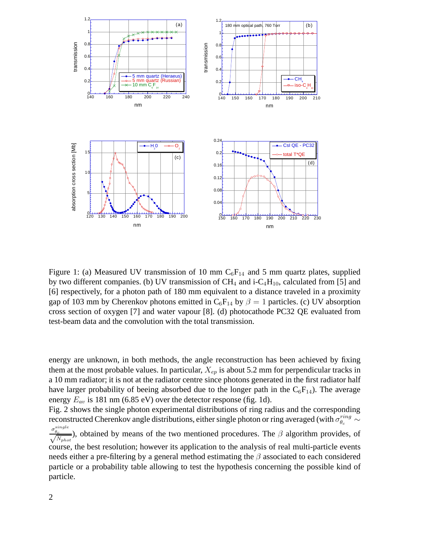

Figure 1: (a) Measured UV transmission of 10 mm  $C_6F_{14}$  and 5 mm quartz plates, supplied by two different companies. (b) UV transmission of  $CH_4$  and i-C<sub>4</sub>H<sub>10</sub>, calculated from [5] and [6] respectively, for a photon path of 180 mm equivalent to a distance traveled in a proximity gap of 103 mm by Cherenkov photons emitted in  $C_6F_{14}$  by  $\beta = 1$  particles. (c) UV absorption cross section of oxygen [7] and water vapour [8]. (d) photocathode PC32 QE evaluated from test-beam data and the convolution with the total transmission.

energy are unknown, in both methods, the angle reconstruction has been achieved by fixing them at the most probable values. In particular,  $X_{ep}$  is about 5.2 mm for perpendicular tracks in a 10 mm radiator; it is not at the radiator centre since photons generated in the first radiator half have larger probability of beeing absorbed due to the longer path in the  $C_6F_{14}$ ). The average energy  $E_{av}$  is 181 nm (6.85 eV) over the detector response (fig. 1d).

Fig. 2 shows the single photon experimental distributions of ring radius and the corresponding reconstructed Cherenkov angle distributions, either single photon or ring averaged (with  $\sigma_{\theta_c}^{ring} \sim$ reconstructed Cherenkov angle distributions, either single photon or ring averaged (with  $\sigma_{\theta_c}^{\sigma_{\theta_c}^{single}}$ ), obtained by means of the two mentioned procedures. The  $\beta$  algorithm provides, of  $\sqrt{N_{phot}}$ ), obtained by means of the two mentioned procedures. The  $\beta$  algorithm provides, of course, the best resolution; however its application to the analysis of real multi-particle events needs either a pre-filtering by a general method estimating the  $\beta$  associated to each considered particle or a probability table allowing to test the hypothesis concerning the possible kind of particle.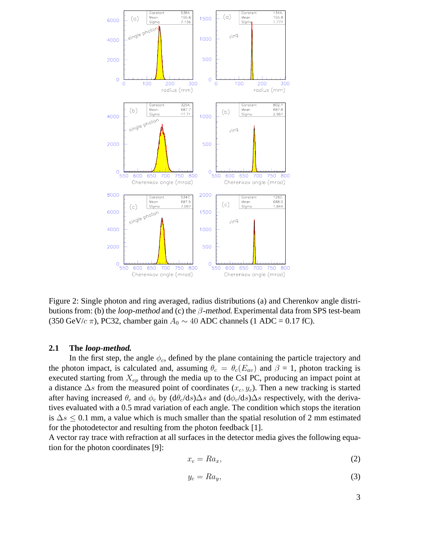

Figure 2: Single photon and ring averaged, radius distributions (a) and Cherenkov angle distributions from: (b) the *loop-method* and (c) the  $\beta$ -method. Experimental data from SPS test-beam (350 GeV/c  $\pi$ ), PC32, chamber gain  $A_0 \sim 40$  ADC channels (1 ADC = 0.17 fC).

## **2.1 The loop-method.**

In the first step, the angle  $\phi_c$ , defined by the plane containing the particle trajectory and the photon impact, is calculated and, assuming  $\theta_c = \theta_c(E_{av})$  and  $\beta = 1$ , photon tracking is executed starting from  $X_{ep}$  through the media up to the CsI PC, producing an impact point at a distance  $\Delta s$  from the measured point of coordinates ( $x_c, y_c$ ). Then a new tracking is started after having increased  $\theta_c$  and  $\phi_c$  by  $(d\theta_c/ds)\Delta s$  and  $(d\phi_c/ds)\Delta s$  respectively, with the derivatives evaluated with a 0.5 mrad variation of each angle. The condition which stops the iteration is  $\Delta s \leq 0.1$  mm, a value which is much smaller than the spatial resolution of 2 mm estimated for the photodetector and resulting from the photon feedback [1].

A vector ray trace with refraction at all surfaces in the detector media gives the following equation for the photon coordinates [9]:

$$
x_c = Ra_x,\t\t(2)
$$

$$
y_c = Ra_y,\tag{3}
$$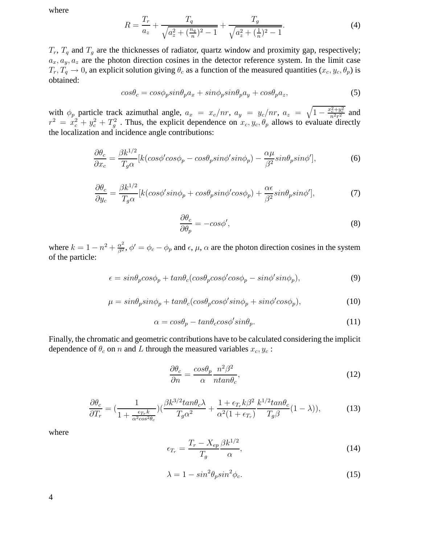where

$$
R = \frac{T_r}{a_z} + \frac{T_q}{\sqrt{a_z^2 + (\frac{n_q}{n})^2 - 1}} + \frac{T_g}{\sqrt{a_z^2 + (\frac{1}{n})^2 - 1}}.
$$
\n(4)

 $T_r$ ,  $T_q$  and  $T_g$  are the thicknesses of radiator, quartz window and proximity gap, respectively;  $a_x, a_y, a_z$  are the photon direction cosines in the detector reference system. In the limit case  $T_r, T_q \to 0$ , an explicit solution giving  $\theta_c$  as a function of the measured quantities  $(x_c, y_c, \theta_p)$  is obtained:

$$
cos\theta_c = cos\phi_p sin\theta_p a_x + sin\phi_p sin\theta_p a_y + cos\theta_p a_z, \qquad (5)
$$

with  $\phi_p$  particle track azimuthal angle,  $a_x = x_c/nr$ ,  $a_y = y_c/nr$ ,  $a_z = \sqrt{1 - \frac{x_c^2 + y_c^2}{n^2 r^2}}$  and  $r^2 = x_c^2 + y_c^2 + T_g^2$ . Thus, the explicit dependence on  $x_c, y_c, \theta_p$  allows to evaluate directly the localization and incidence angle contributions:

$$
\frac{\partial \theta_c}{\partial x_c} = \frac{\beta k^{1/2}}{T_g \alpha} [k(cos\phi' cos\phi_p - cos\theta_p sin\phi' sin\phi_p) - \frac{\alpha \mu}{\beta^2} sin\theta_p sin\phi'],\tag{6}
$$

$$
\frac{\partial \theta_c}{\partial y_c} = \frac{\beta k^{1/2}}{T_g \alpha} [k(cos\phi'sin\phi_p + cos\theta_p sin\phi' cos\phi_p) + \frac{\alpha \epsilon}{\beta^2} sin\theta_p sin\phi'],\tag{7}
$$

$$
\frac{\partial \theta_c}{\partial \theta_p} = -\cos\phi',\tag{8}
$$

where  $k = 1 - n^2 + \frac{\alpha^2}{\beta^2}$ ,  $\phi' = \phi_c - \phi_p$  and  $\epsilon$ ,  $\mu$ ,  $\alpha$  are the photon direction cosines in the system of the particle:

$$
\epsilon = \sin\theta_p \cos\phi_p + \tan\theta_c (\cos\theta_p \cos\phi' \cos\phi_p - \sin\phi' \sin\phi_p),\tag{9}
$$

$$
\mu = \sin\theta_p \sin\phi_p + \tan\theta_c (\cos\theta_p \cos\phi' \sin\phi_p + \sin\phi' \cos\phi_p),\tag{10}
$$

$$
\alpha = \cos\theta_p - \tan\theta_c \cos\phi' \sin\theta_p. \tag{11}
$$

Finally, the chromatic and geometric contributions have to be calculated considering the implicit dependence of  $\theta_c$  on n and L through the measured variables  $x_c, y_c$ :

$$
\frac{\partial \theta_c}{\partial n} = \frac{\cos \theta_p}{\alpha} \frac{n^2 \beta^2}{n \tan \theta_c},\tag{12}
$$

$$
\frac{\partial \theta_c}{\partial T_r} = \left(\frac{1}{1 + \frac{\epsilon_{T_r} k}{\alpha^2 \cos^2 \theta_c}}\right) \left(\frac{\beta k^{3/2} \tan \theta_c \lambda}{T_g \alpha^2} + \frac{1 + \epsilon_{T_r} k \beta^2}{\alpha^2 (1 + \epsilon_{T_r})} \frac{k^{1/2} \tan \theta_c}{T_g \beta} (1 - \lambda)\right),\tag{13}
$$

where

$$
\epsilon_{T_r} = \frac{T_r - X_{ep}}{T_g} \frac{\beta k^{1/2}}{\alpha},\tag{14}
$$

$$
\lambda = 1 - \sin^2 \theta_p \sin^2 \phi_c. \tag{15}
$$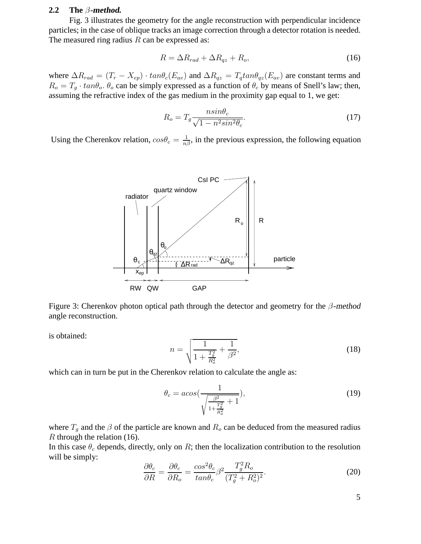#### **2.2 The** β**-method.**

Fig. 3 illustrates the geometry for the angle reconstruction with perpendicular incidence particles; in the case of oblique tracks an image correction through a detector rotation is needed. The measured ring radius  $R$  can be expressed as:

$$
R = \Delta R_{rad} + \Delta R_{qz} + R_o,\tag{16}
$$

where  $\Delta R_{rad} = (T_r - X_{ep}) \cdot tan\theta_c(E_{av})$  and  $\Delta R_{gz} = T_q tan\theta_{qz}(E_{av})$  are constant terms and  $R_o = T_g \cdot tan\theta_o$ .  $\theta_o$  can be simply expressed as a function of  $\theta_c$  by means of Snell's law; then, assuming the refractive index of the gas medium in the proximity gap equal to 1, we get:

$$
R_o = T_g \frac{n \sin \theta_c}{\sqrt{1 - n^2 \sin^2 \theta_c}}.\tag{17}
$$

Using the Cherenkov relation,  $cos\theta_c = \frac{1}{n\beta}$ , in the previous expression, the following equation



Figure 3: Cherenkov photon optical path through the detector and geometry for the  $\beta$ -method angle reconstruction.

is obtained:

$$
n = \sqrt{\frac{1}{1 + \frac{T_g^2}{R_o^2}} + \frac{1}{\beta^2}},\tag{18}
$$

which can in turn be put in the Cherenkov relation to calculate the angle as:

$$
\theta_c = a \cos\left(\frac{1}{\sqrt{\frac{\beta^2}{1 + \frac{T_g^2}{R_o^2}} + 1}}\right),\tag{19}
$$

where  $T_g$  and the  $\beta$  of the particle are known and  $R_o$  can be deduced from the measured radius  $R$  through the relation (16).

In this case  $\theta_c$  depends, directly, only on R; then the localization contribution to the resolution will be simply:

$$
\frac{\partial \theta_c}{\partial R} = \frac{\partial \theta_c}{\partial R_o} = \frac{\cos^2 \theta_c}{\tan \theta_c} \beta^2 \frac{T_g^2 R_o}{(T_g^2 + R_o^2)^2}.
$$
 (20)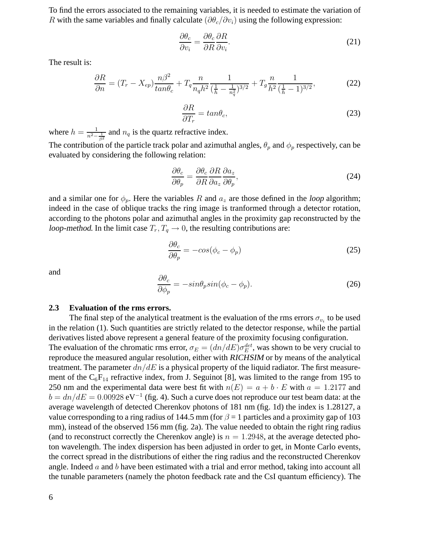To find the errors associated to the remaining variables, it is needed to estimate the variation of R with the same variables and finally calculate ( $\partial \theta_c / \partial v_i$ ) using the following expression:

$$
\frac{\partial \theta_c}{\partial v_i} = \frac{\partial \theta_c}{\partial R} \frac{\partial R}{\partial v_i}.
$$
\n(21)

The result is:

$$
\frac{\partial R}{\partial n} = (T_r - X_{ep}) \frac{n\beta^2}{\tan \theta_c} + T_q \frac{n}{n_q h^2} \frac{1}{(\frac{1}{h} - \frac{1}{n_q^2})^{3/2}} + T_g \frac{n}{h^2} \frac{1}{(\frac{1}{h} - 1)^{3/2}},\tag{22}
$$

$$
\frac{\partial R}{\partial T_r} = \tan \theta_c,\tag{23}
$$

where  $h = \frac{1}{n^2 - \frac{1}{\beta^2}}$ <br>The contribution and  $n_q$  is the quartz refractive index. The contribution of the particle track polar and azimuthal angles,  $\theta_p$  and  $\phi_p$  respectively, can be evaluated by considering the following relation:

$$
\frac{\partial \theta_c}{\partial \theta_p} = \frac{\partial \theta_c}{\partial R} \frac{\partial R}{\partial a_z} \frac{\partial a_z}{\partial \theta_p},\tag{24}
$$

and a similar one for  $\phi_p$ . Here the variables R and  $a_z$  are those defined in the loop algorithm; indeed in the case of oblique tracks the ring image is tranformed through a detector rotation, according to the photons polar and azimuthal angles in the proximity gap reconstructed by the loop-method. In the limit case  $T_r$ ,  $T_q \rightarrow 0$ , the resulting contributions are:

$$
\frac{\partial \theta_c}{\partial \theta_p} = -\cos(\phi_c - \phi_p) \tag{25}
$$

and

$$
\frac{\partial \theta_c}{\partial \phi_p} = -\sin\theta_p \sin(\phi_c - \phi_p). \tag{26}
$$

## **2.3 Evaluation of the rms errors.**

The final step of the analytical treatment is the evaluation of the rms errors  $\sigma_{v_i}$  to be used in the relation (1). Such quantities are strictly related to the detector response, while the partial derivatives listed above represent a general feature of the proximity focusing configuration. The evaluation of the chromatic rms error,  $\sigma_E = (dn/dE) \sigma_E^{det}$ , was shown to be very crucial to reproduce the measured angular resolution, either with RICHSIM or by means of the analytical treatment. The parameter  $dn/dE$  is a physical property of the liquid radiator. The first measurement of the  $C_6F_{14}$  refractive index, from J. Seguinot [8], was limited to the range from 195 to 250 nm and the experimental data were best fit with  $n(E) = a + b \cdot E$  with  $a = 1.2177$  and  $b = dn/dE = 0.00928$  eV<sup>-1</sup> (fig. 4). Such a curve does not reproduce our test beam data: at the average wavelength of detected Cherenkov photons of 181 nm (fig. 1d) the index is 1.28127, a value corresponding to a ring radius of 144.5 mm (for  $\beta = 1$  particles and a proximity gap of 103 mm), instead of the observed 156 mm (fig. 2a). The value needed to obtain the right ring radius (and to reconstruct correctly the Cherenkov angle) is  $n = 1.2948$ , at the average detected photon wavelength. The index dispersion has been adjusted in order to get, in Monte Carlo events, the correct spread in the distributions of either the ring radius and the reconstructed Cherenkov angle. Indeed  $a$  and  $b$  have been estimated with a trial and error method, taking into account all the tunable parameters (namely the photon feedback rate and the CsI quantum efficiency). The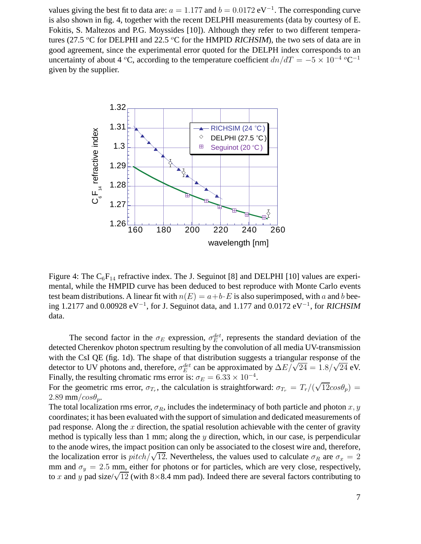values giving the best fit to data are:  $a = 1.177$  and  $b = 0.0172$  eV<sup>-1</sup>. The corresponding curve is also shown in fig. 4, together with the recent DELPHI measurements (data by courtesy of E. Fokitis, S. Maltezos and P.G. Moyssides [10]). Although they refer to two different temperatures (27.5  $\rm{^{\circ}C}$  for DELPHI and 22.5  $\rm{^{\circ}C}$  for the HMPID RICHSIM), the two sets of data are in good agreement, since the experimental error quoted for the DELPH index corresponds to an uncertainty of about 4 °C, according to the temperature coefficient  $dn/dT = -5 \times 10^{-4}$  °C<sup>-1</sup> given by the supplier.



Figure 4: The  $C_6F_{14}$  refractive index. The J. Seguinot [8] and DELPHI [10] values are experimental, while the HMPID curve has been deduced to best reproduce with Monte Carlo events test beam distributions. A linear fit with  $n(E) = a+b \cdot E$  is also superimposed, with a and b beeing 1.2177 and 0.00928 eV<sup>-1</sup>, for J. Seguinot data, and 1.177 and 0.0172 eV<sup>-1</sup>, for RICHSIM data.

The second factor in the  $\sigma_E$  expression,  $\sigma_E^{det}$ , represents the standard deviation of the detected Cherenkov photon spectrum resulting by the convolution of all media UV-transmission with the CsI QE (fig. 1d). The shape of that distribution suggests a triangular response of the detector to UV photons and, therefore,  $\sigma_E^{det}$  can be approximated by  $\Delta E/\sqrt{24} = 1.8/\sqrt{24}$  eV. Finally, the resulting chromatic rms error is:  $\sigma_E = 6.33 \times 10^{-4}$ .

For the geometric rms error,  $\sigma_{T_r}$ , the calculation is straightforward:  $\sigma_{T_r} = T_r/(\sqrt{12}cos\theta_p) =$  $2.89$  mm/ $cos\theta_p$ .

The total localization rms error,  $\sigma_R$ , includes the indeterminacy of both particle and photon x, y coordinates; it has been evaluated with the support of simulation and dedicated measurements of pad response. Along the  $x$  direction, the spatial resolution achievable with the center of gravity method is typically less than 1 mm; along the  $y$  direction, which, in our case, is perpendicular to the anode wires, the impact position can only be associated to the closest wire and, therefore, the localization error is  $pitch/\sqrt{12}$ . Nevertheless, the values used to calculate  $\sigma_R$  are  $\sigma_x = 2$ mm and  $\sigma_y = 2.5$  mm, either for photons or for particles, which are very close, respectively, to x and y pad size/ $\sqrt{12}$  (with 8×8.4 mm pad). Indeed there are several factors contributing to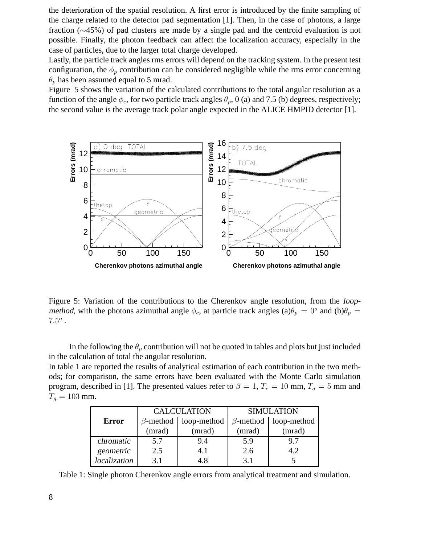the deterioration of the spatial resolution. A first error is introduced by the finite sampling of the charge related to the detector pad segmentation [1]. Then, in the case of photons, a large fraction (∼45%) of pad clusters are made by a single pad and the centroid evaluation is not possible. Finally, the photon feedback can affect the localization accuracy, especially in the case of particles, due to the larger total charge developed.

Lastly, the particle track angles rms errors will depend on the tracking system. In the present test configuration, the  $\phi_p$  contribution can be considered negligible while the rms error concerning  $\theta_p$  has been assumed equal to 5 mrad.

Figure 5 shows the variation of the calculated contributions to the total angular resolution as a function of the angle  $\phi_c$ , for two particle track angles  $\theta_p$ , 0 (a) and 7.5 (b) degrees, respectively; the second value is the average track polar angle expected in the ALICE HMPID detector [1].



Figure 5: Variation of the contributions to the Cherenkov angle resolution, from the loopmethod, with the photons azimuthal angle  $\phi_c$ , at particle track angles (a) $\theta_p = 0^\circ$  and (b) $\theta_p =$  $7.5^o$  .

In the following the  $\theta_p$  contribution will not be quoted in tables and plots but just included in the calculation of total the angular resolution.

In table 1 are reported the results of analytical estimation of each contribution in the two methods; for comparison, the same errors have been evaluated with the Monte Carlo simulation program, described in [1]. The presented values refer to  $\beta = 1$ ,  $T_r = 10$  mm,  $T_q = 5$  mm and  $T_a = 103$  mm.

|              | <b>CALCULATION</b> |             | <b>SIMULATION</b> |             |
|--------------|--------------------|-------------|-------------------|-------------|
| <b>Error</b> | $\beta$ -method    | loop-method | $\beta$ -method   | loop-method |
|              | (mrad)             | (mrad)      | (mrad)            | (mrad)      |
| chromatic    | 5.7                | 9.4         | 5.9               | 9.7         |
| geometric    | 2.5                | 4.1         | 2.6               | 4.2         |
| localization | 3.1                | 4.8         | 3.1               |             |

Table 1: Single photon Cherenkov angle errors from analytical treatment and simulation.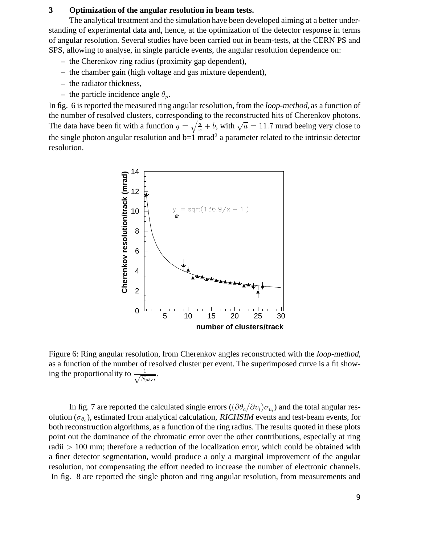## **3 Optimization of the angular resolution in beam tests.**

The analytical treatment and the simulation have been developed aiming at a better understanding of experimental data and, hence, at the optimization of the detector response in terms of angular resolution. Several studies have been carried out in beam-tests, at the CERN PS and SPS, allowing to analyse, in single particle events, the angular resolution dependence on:

- **–** the Cherenkov ring radius (proximity gap dependent),
- **–** the chamber gain (high voltage and gas mixture dependent),
- **–** the radiator thickness,
- **–** the particle incidence angle  $\theta_n$ .

In fig. 6 is reported the measured ring angular resolution, from the loop-method, as a function of the number of resolved clusters, corresponding to the reconstructed hits of Cherenkov photons. The data have been fit with a function  $y = \sqrt{\frac{a}{x} + b}$ , with  $\sqrt{a} = 11.7$  mrad beeing very close to the single photon angular resolution and  $b=1$  mrad<sup>2</sup> a parameter related to the intrinsic detector resolution.



Figure 6: Ring angular resolution, from Cherenkov angles reconstructed with the loop-method, as a function of the number of resolved cluster per event. The superimposed curve is a fit showing the proportionality to  $\frac{1}{\sqrt{N}}$ <sup>N</sup>phot .

In fig. 7 are reported the calculated single errors ( $(\partial \theta_c/\partial v_i)\sigma_{v_i}$ ) and the total angular resolution ( $\sigma_{\theta_c}$ ), estimated from analytical calculation, RICHSIM events and test-beam events, for both reconstruction algorithms, as a function of the ring radius. The results quoted in these plots point out the dominance of the chromatic error over the other contributions, especially at ring radii > 100 mm; therefore a reduction of the localization error, which could be obtained with a finer detector segmentation, would produce a only a marginal improvement of the angular resolution, not compensating the effort needed to increase the number of electronic channels. In fig. 8 are reported the single photon and ring angular resolution, from measurements and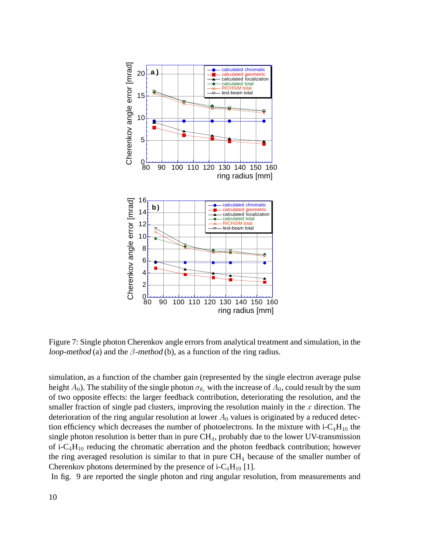

Figure 7: Single photon Cherenkov angle errors from analytical treatment and simulation, in the loop-method (a) and the  $\beta$ -method (b), as a function of the ring radius.

simulation, as a function of the chamber gain (represented by the single electron average pulse height  $A_0$ ). The stability of the single photon  $\sigma_{\theta_c}$  with the increase of  $A_0$ , could result by the sum of two opposite effects: the larger feedback contribution, deteriorating the resolution, and the smaller fraction of single pad clusters, improving the resolution mainly in the  $x$  direction. The deterioration of the ring angular resolution at lower  $A_0$  values is originated by a reduced detection efficiency which decreases the number of photoelectrons. In the mixture with  $i-C_4H_{10}$  the single photon resolution is better than in pure  $CH<sub>4</sub>$ , probably due to the lower UV-transmission of i- $C_4H_{10}$  reducing the chromatic aberration and the photon feedback contribution; however the ring averaged resolution is similar to that in pure  $CH<sub>4</sub>$  because of the smaller number of Cherenkov photons determined by the presence of i-C<sub>4</sub>H<sub>10</sub> [1].

In fig. 9 are reported the single photon and ring angular resolution, from measurements and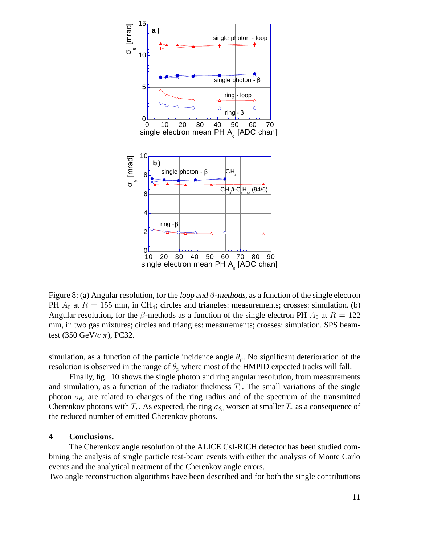

Figure 8: (a) Angular resolution, for the *loop and*  $\beta$ *-methods*, as a function of the single electron PH  $A_0$  at  $R = 155$  mm, in CH<sub>4</sub>; circles and triangles: measurements; crosses: simulation. (b) Angular resolution, for the  $\beta$ -methods as a function of the single electron PH  $A_0$  at  $R = 122$ mm, in two gas mixtures; circles and triangles: measurements; crosses: simulation. SPS beamtest (350 GeV/ $c \pi$ ), PC32.

simulation, as a function of the particle incidence angle  $\theta_p$ . No significant deterioration of the resolution is observed in the range of  $\theta_p$  where most of the HMPID expected tracks will fall.

Finally, fig. 10 shows the single photon and ring angular resolution, from measurements and simulation, as a function of the radiator thickness  $T_r$ . The small variations of the single photon  $\sigma_{\theta_c}$  are related to changes of the ring radius and of the spectrum of the transmitted Cherenkov photons with  $T_r$ . As expected, the ring  $\sigma_{\theta_c}$  worsen at smaller  $T_r$  as a consequence of the reduced number of emitted Cherenkov photons.

## **4 Conclusions.**

The Cherenkov angle resolution of the ALICE CsI-RICH detector has been studied combining the analysis of single particle test-beam events with either the analysis of Monte Carlo events and the analytical treatment of the Cherenkov angle errors.

Two angle reconstruction algorithms have been described and for both the single contributions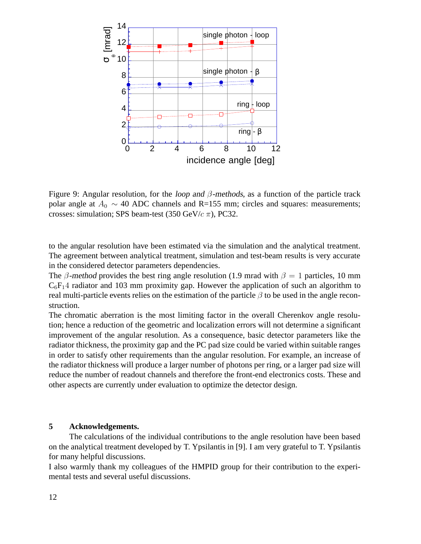

Figure 9: Angular resolution, for the *loop and*  $\beta$ *-methods*, as a function of the particle track polar angle at  $A_0 \sim 40$  ADC channels and R=155 mm; circles and squares: measurements; crosses: simulation; SPS beam-test (350 GeV/ $c \pi$ ), PC32.

to the angular resolution have been estimated via the simulation and the analytical treatment. The agreement between analytical treatment, simulation and test-beam results is very accurate in the considered detector parameters dependencies.

The β-method provides the best ring angle resolution (1.9 mrad with  $\beta = 1$  particles, 10 mm  $C_6F_14$  radiator and 103 mm proximity gap. However the application of such an algorithm to real multi-particle events relies on the estimation of the particle  $\beta$  to be used in the angle reconstruction.

The chromatic aberration is the most limiting factor in the overall Cherenkov angle resolution; hence a reduction of the geometric and localization errors will not determine a significant improvement of the angular resolution. As a consequence, basic detector parameters like the radiator thickness, the proximity gap and the PC pad size could be varied within suitable ranges in order to satisfy other requirements than the angular resolution. For example, an increase of the radiator thickness will produce a larger number of photons per ring, or a larger pad size will reduce the number of readout channels and therefore the front-end electronics costs. These and other aspects are currently under evaluation to optimize the detector design.

# **5 Acknowledgements.**

The calculations of the individual contributions to the angle resolution have been based on the analytical treatment developed by T. Ypsilantis in [9]. I am very grateful to T. Ypsilantis for many helpful discussions.

I also warmly thank my colleagues of the HMPID group for their contribution to the experimental tests and several useful discussions.